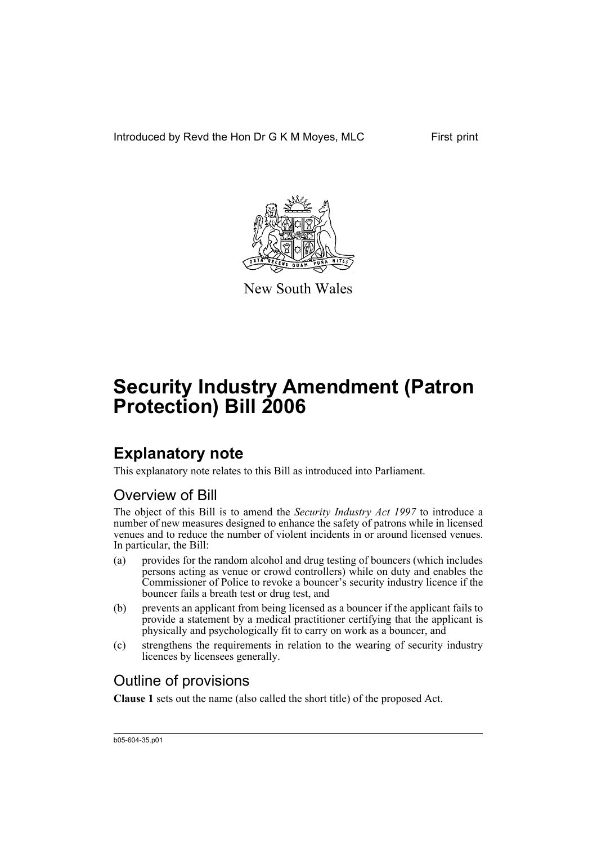Introduced by Revd the Hon Dr G K M Moyes, MLC First print



New South Wales

# **Security Industry Amendment (Patron Protection) Bill 2006**

# **Explanatory note**

This explanatory note relates to this Bill as introduced into Parliament.

## Overview of Bill

The object of this Bill is to amend the *Security Industry Act 1997* to introduce a number of new measures designed to enhance the safety of patrons while in licensed venues and to reduce the number of violent incidents in or around licensed venues. In particular, the Bill:

- (a) provides for the random alcohol and drug testing of bouncers (which includes persons acting as venue or crowd controllers) while on duty and enables the Commissioner of Police to revoke a bouncer's security industry licence if the bouncer fails a breath test or drug test, and
- (b) prevents an applicant from being licensed as a bouncer if the applicant fails to provide a statement by a medical practitioner certifying that the applicant is physically and psychologically fit to carry on work as a bouncer, and
- (c) strengthens the requirements in relation to the wearing of security industry licences by licensees generally.

# Outline of provisions

**Clause 1** sets out the name (also called the short title) of the proposed Act.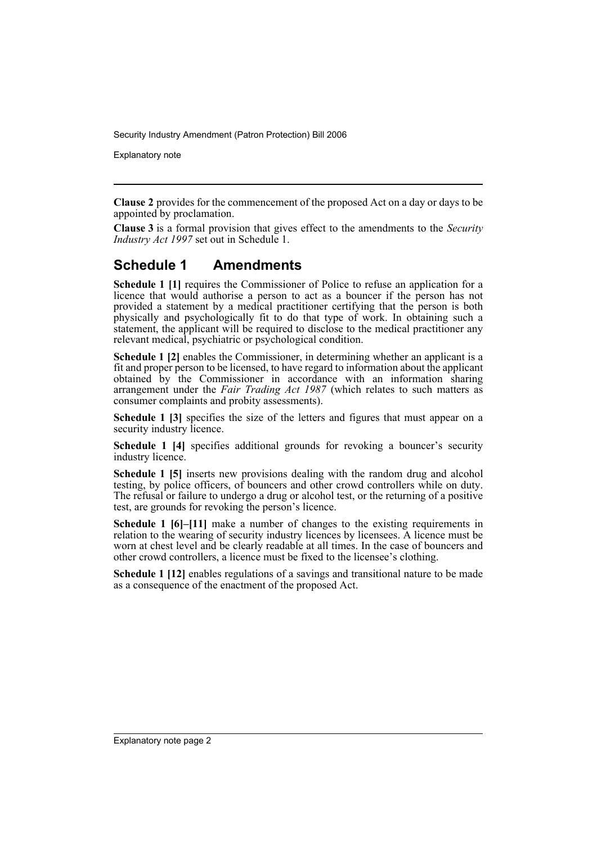Explanatory note

**Clause 2** provides for the commencement of the proposed Act on a day or days to be appointed by proclamation.

**Clause 3** is a formal provision that gives effect to the amendments to the *Security Industry Act 1997* set out in Schedule 1.

## **Schedule 1 Amendments**

**Schedule 1 [1]** requires the Commissioner of Police to refuse an application for a licence that would authorise a person to act as a bouncer if the person has not provided a statement by a medical practitioner certifying that the person is both physically and psychologically fit to do that type of work. In obtaining such a statement, the applicant will be required to disclose to the medical practitioner any relevant medical, psychiatric or psychological condition.

**Schedule 1 [2]** enables the Commissioner, in determining whether an applicant is a fit and proper person to be licensed, to have regard to information about the applicant obtained by the Commissioner in accordance with an information sharing arrangement under the *Fair Trading Act 1987* (which relates to such matters as consumer complaints and probity assessments).

**Schedule 1 [3]** specifies the size of the letters and figures that must appear on a security industry licence.

**Schedule 1 [4]** specifies additional grounds for revoking a bouncer's security industry licence.

**Schedule 1 [5]** inserts new provisions dealing with the random drug and alcohol testing, by police officers, of bouncers and other crowd controllers while on duty. The refusal or failure to undergo a drug or alcohol test, or the returning of a positive test, are grounds for revoking the person's licence.

**Schedule 1 [6]–[11]** make a number of changes to the existing requirements in relation to the wearing of security industry licences by licensees. A licence must be worn at chest level and be clearly readable at all times. In the case of bouncers and other crowd controllers, a licence must be fixed to the licensee's clothing.

**Schedule 1 [12]** enables regulations of a savings and transitional nature to be made as a consequence of the enactment of the proposed Act.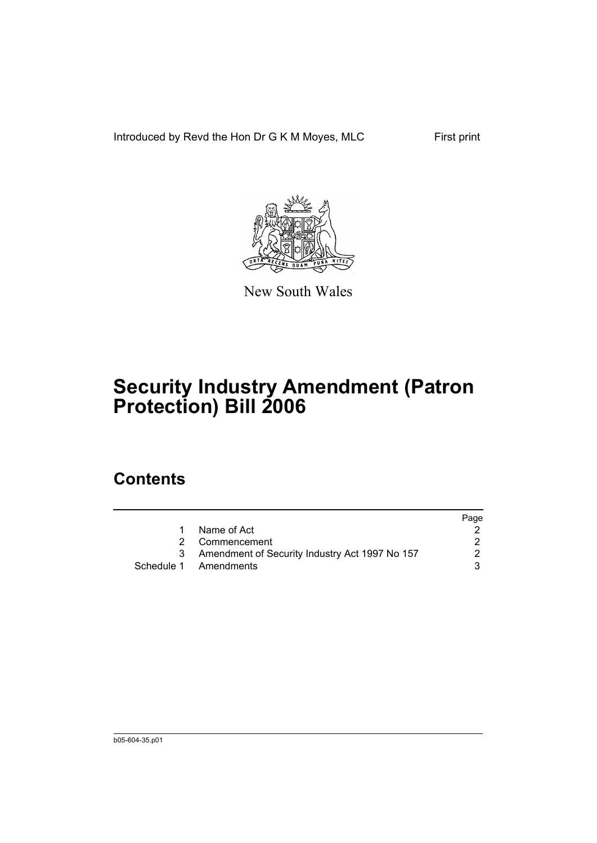Introduced by Revd the Hon Dr G K M Moyes, MLC First print



New South Wales

# **Security Industry Amendment (Patron Protection) Bill 2006**

# **Contents**

|                                                | Page |
|------------------------------------------------|------|
| Name of Act                                    |      |
| 2 Commencement                                 |      |
| Amendment of Security Industry Act 1997 No 157 | 2    |
| Schedule 1 Amendments                          | 3    |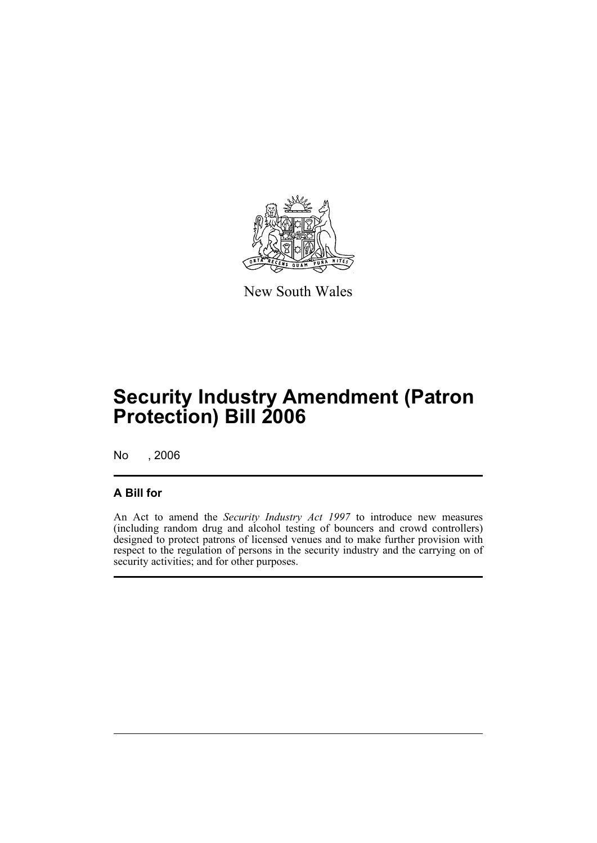

New South Wales

# **Security Industry Amendment (Patron Protection) Bill 2006**

No , 2006

### **A Bill for**

An Act to amend the *Security Industry Act 1997* to introduce new measures (including random drug and alcohol testing of bouncers and crowd controllers) designed to protect patrons of licensed venues and to make further provision with respect to the regulation of persons in the security industry and the carrying on of security activities; and for other purposes.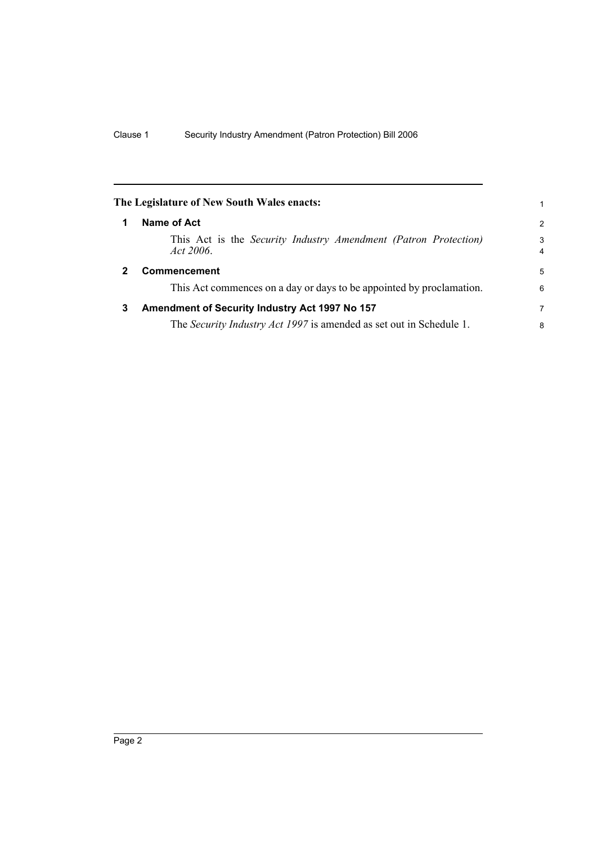<span id="page-5-2"></span><span id="page-5-1"></span><span id="page-5-0"></span>

|              | The Legislature of New South Wales enacts:                                   |                     |
|--------------|------------------------------------------------------------------------------|---------------------|
| 1            | Name of Act                                                                  | 2                   |
|              | This Act is the Security Industry Amendment (Patron Protection)<br>Act 2006. | 3<br>$\overline{4}$ |
| $\mathbf{2}$ | <b>Commencement</b>                                                          | 5                   |
|              | This Act commences on a day or days to be appointed by proclamation.         | 6                   |
| 3            | Amendment of Security Industry Act 1997 No 157                               | 7                   |
|              | The <i>Security Industry Act 1997</i> is amended as set out in Schedule 1.   | 8                   |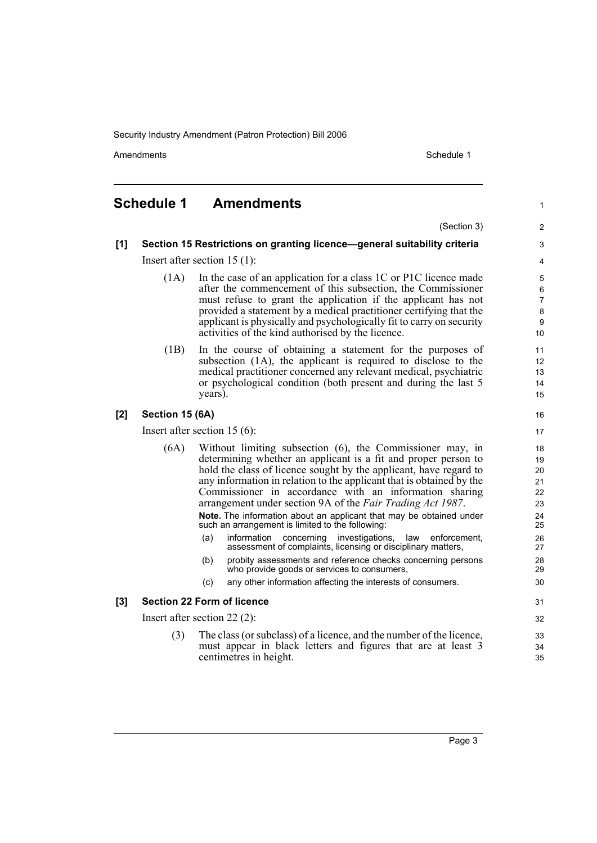Amendments **Amendments** Schedule 1

1

3 4

## <span id="page-6-0"></span>**Schedule 1 Amendments**

(Section 3) **[1] Section 15 Restrictions on granting licence—general suitability criteria** Insert after section 15 (1): (1A) In the case of an application for a class 1C or P1C licence made after the commencement of this subsection, the Commissioner must refuse to grant the application if the applicant has not provided a statement by a medical practitioner certifying that the applicant is physically and psychologically fit to carry on security activities of the kind authorised by the licence. (1B) In the course of obtaining a statement for the purposes of subsection (1A), the applicant is required to disclose to the medical practitioner concerned any relevant medical, psychiatric or psychological condition (both present and during the last 5 years). **[2] Section 15 (6A)** Insert after section 15 (6): (6A) Without limiting subsection (6), the Commissioner may, in determining whether an applicant is a fit and proper person to hold the class of licence sought by the applicant, have regard to any information in relation to the applicant that is obtained by the Commissioner in accordance with an information sharing arrangement under section 9A of the *Fair Trading Act 1987*. **Note.** The information about an applicant that may be obtained under such an arrangement is limited to the following: (a) information concerning investigations, law enforcement, assessment of complaints, licensing or disciplinary matters, (b) probity assessments and reference checks concerning persons who provide goods or services to consumers, (c) any other information affecting the interests of consumers. **[3] Section 22 Form of licence** Insert after section 22 (2): (3) The class (or subclass) of a licence, and the number of the licence, must appear in black letters and figures that are at least 3 centimetres in height.  $\overline{2}$ 5 6 7 8 **9** 10 11 12 13  $14$ 15 16 17 18 19  $20$ 21 22 23 24 25 26 27 28 29 30 31 32 33 34 35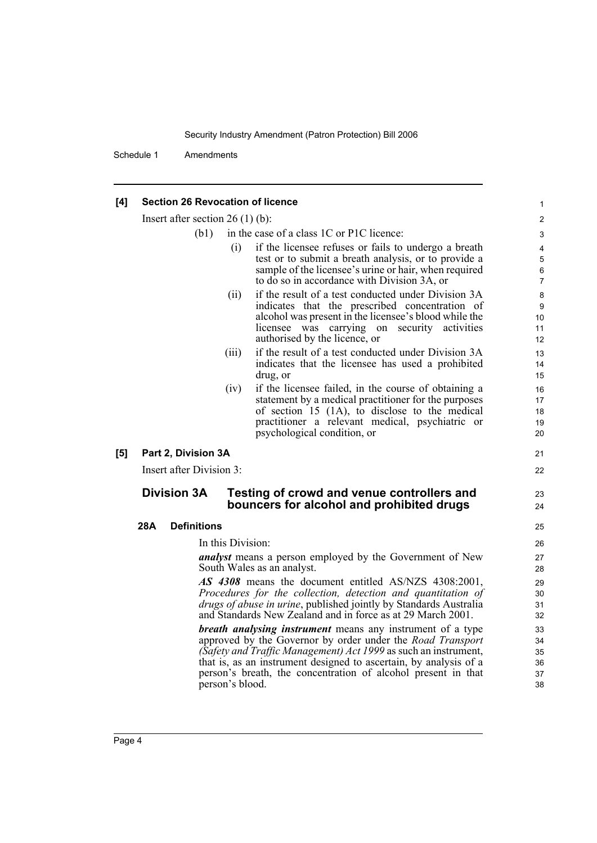Schedule 1 Amendments

#### **[4] Section 26 Revocation of licence**

Insert after section 26 (1) (b):

- (b1) in the case of a class 1C or P1C licence:
	- (i) if the licensee refuses or fails to undergo a breath test or to submit a breath analysis, or to provide a sample of the licensee's urine or hair, when required to do so in accordance with Division 3A, or

21 22

23  $24$ 

- (ii) if the result of a test conducted under Division 3A indicates that the prescribed concentration of alcohol was present in the licensee's blood while the licensee was carrying on security activities authorised by the licence, or
- (iii) if the result of a test conducted under Division 3A indicates that the licensee has used a prohibited drug, or
- (iv) if the licensee failed, in the course of obtaining a statement by a medical practitioner for the purposes of section 15 (1A), to disclose to the medical practitioner a relevant medical, psychiatric or psychological condition, or
- **[5] Part 2, Division 3A**

Insert after Division 3:

### **Division 3A Testing of crowd and venue controllers and bouncers for alcohol and prohibited drugs**

### **28A Definitions**

In this Division:

*analyst* means a person employed by the Government of New South Wales as an analyst.

*AS 4308* means the document entitled AS/NZS 4308:2001, *Procedures for the collection, detection and quantitation of drugs of abuse in urine*, published jointly by Standards Australia and Standards New Zealand and in force as at 29 March 2001.

*breath analysing instrument* means any instrument of a type approved by the Governor by order under the *Road Transport (Safety and Traffic Management) Act 1999* as such an instrument, that is, as an instrument designed to ascertain, by analysis of a person's breath, the concentration of alcohol present in that person's blood.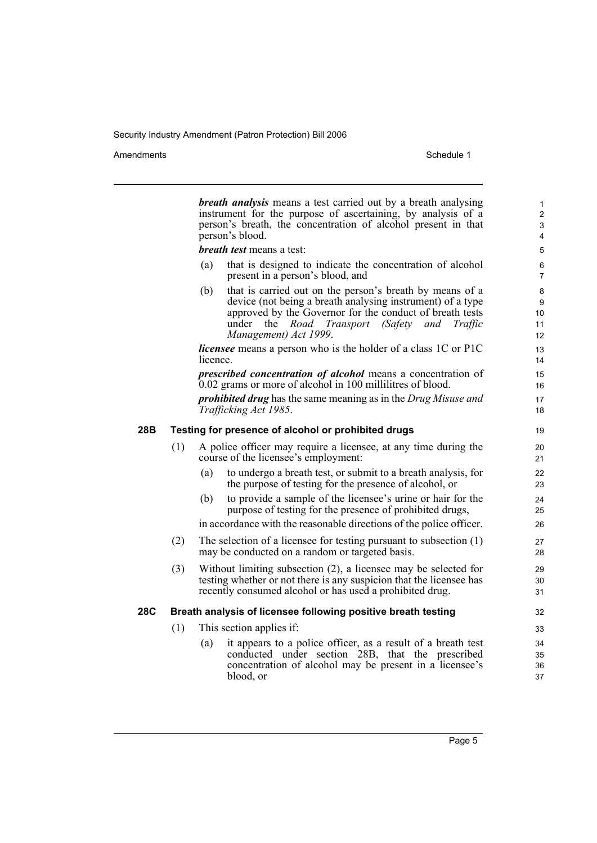Amendments Schedule 1

|     |                                                               |                                                     | <b>breath analysis</b> means a test carried out by a breath analysing<br>instrument for the purpose of ascertaining, by analysis of a<br>person's breath, the concentration of alcohol present in that<br>person's blood.                                               | $\mathbf{1}$<br>$\overline{2}$<br>3<br>4 |  |  |  |
|-----|---------------------------------------------------------------|-----------------------------------------------------|-------------------------------------------------------------------------------------------------------------------------------------------------------------------------------------------------------------------------------------------------------------------------|------------------------------------------|--|--|--|
|     |                                                               |                                                     | breath test means a test:                                                                                                                                                                                                                                               | 5                                        |  |  |  |
|     |                                                               | (a)                                                 | that is designed to indicate the concentration of alcohol<br>present in a person's blood, and                                                                                                                                                                           | 6<br>$\overline{7}$                      |  |  |  |
|     |                                                               | (b)                                                 | that is carried out on the person's breath by means of a<br>device (not being a breath analysing instrument) of a type<br>approved by the Governor for the conduct of breath tests<br>under<br>the<br>Road Transport<br>(Safety and<br>Traffic<br>Management) Act 1999. | 8<br>9<br>10<br>11<br>12                 |  |  |  |
|     |                                                               | licence.                                            | <i>licensee</i> means a person who is the holder of a class 1C or P1C                                                                                                                                                                                                   | 13<br>14                                 |  |  |  |
|     |                                                               |                                                     | prescribed concentration of alcohol means a concentration of<br>0.02 grams or more of alcohol in 100 millilitres of blood.                                                                                                                                              | 15<br>16                                 |  |  |  |
|     |                                                               |                                                     | <b>prohibited drug</b> has the same meaning as in the Drug Misuse and<br>Trafficking Act 1985.                                                                                                                                                                          | 17<br>18                                 |  |  |  |
| 28B |                                                               | Testing for presence of alcohol or prohibited drugs |                                                                                                                                                                                                                                                                         |                                          |  |  |  |
|     | (1)                                                           |                                                     | A police officer may require a licensee, at any time during the<br>course of the licensee's employment:                                                                                                                                                                 | 20<br>21                                 |  |  |  |
|     |                                                               | (a)                                                 | to undergo a breath test, or submit to a breath analysis, for<br>the purpose of testing for the presence of alcohol, or                                                                                                                                                 | 22<br>23                                 |  |  |  |
|     |                                                               | (b)                                                 | to provide a sample of the licensee's urine or hair for the<br>purpose of testing for the presence of prohibited drugs,                                                                                                                                                 | 24<br>25                                 |  |  |  |
|     |                                                               |                                                     | in accordance with the reasonable directions of the police officer.                                                                                                                                                                                                     | 26                                       |  |  |  |
|     | (2)                                                           |                                                     | The selection of a licensee for testing pursuant to subsection $(1)$<br>may be conducted on a random or targeted basis.                                                                                                                                                 | 27<br>28                                 |  |  |  |
|     | (3)                                                           |                                                     | Without limiting subsection (2), a licensee may be selected for<br>testing whether or not there is any suspicion that the licensee has<br>recently consumed alcohol or has used a prohibited drug.                                                                      | 29<br>30<br>31                           |  |  |  |
| 28C | Breath analysis of licensee following positive breath testing |                                                     |                                                                                                                                                                                                                                                                         |                                          |  |  |  |
|     | (1)                                                           | This section applies if:                            |                                                                                                                                                                                                                                                                         |                                          |  |  |  |
|     |                                                               | (a)                                                 | it appears to a police officer, as a result of a breath test<br>conducted under section 28B, that the prescribed<br>concentration of alcohol may be present in a licensee's<br>blood, or                                                                                | 34<br>35<br>36<br>37                     |  |  |  |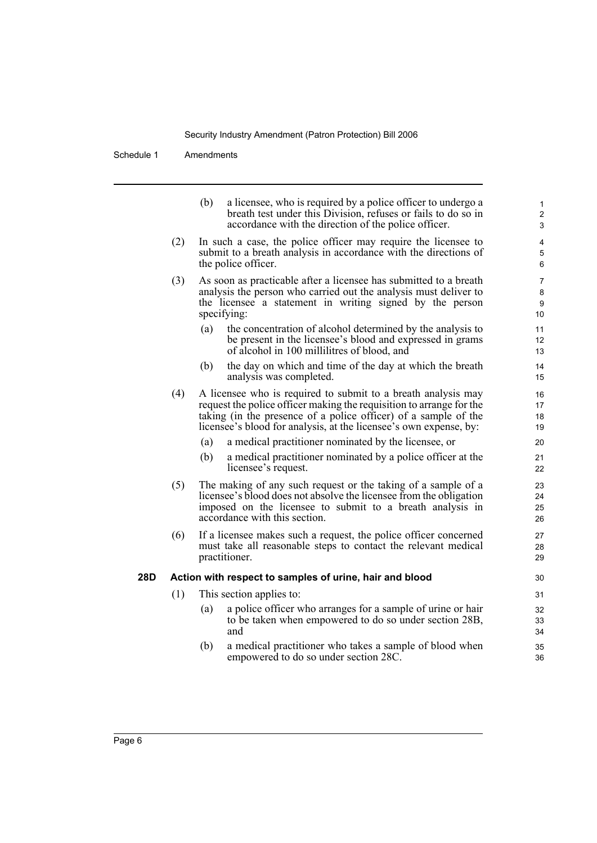Schedule 1 Amendments

|     |     | a licensee, who is required by a police officer to undergo a<br>(b)<br>breath test under this Division, refuses or fails to do so in<br>accordance with the direction of the police officer.                                                                                  | 1<br>$\overline{2}$<br>3         |  |  |  |  |  |
|-----|-----|-------------------------------------------------------------------------------------------------------------------------------------------------------------------------------------------------------------------------------------------------------------------------------|----------------------------------|--|--|--|--|--|
|     | (2) | In such a case, the police officer may require the licensee to<br>submit to a breath analysis in accordance with the directions of<br>the police officer.                                                                                                                     | 4<br>5<br>6                      |  |  |  |  |  |
|     | (3) | As soon as practicable after a licensee has submitted to a breath<br>analysis the person who carried out the analysis must deliver to<br>the licensee a statement in writing signed by the person<br>specifying:                                                              | 7<br>8<br>$\boldsymbol{9}$<br>10 |  |  |  |  |  |
|     |     | the concentration of alcohol determined by the analysis to<br>(a)<br>be present in the licensee's blood and expressed in grams<br>of alcohol in 100 millilitres of blood, and                                                                                                 | 11<br>12<br>13                   |  |  |  |  |  |
|     |     | (b)<br>the day on which and time of the day at which the breath<br>analysis was completed.                                                                                                                                                                                    | 14<br>15                         |  |  |  |  |  |
|     | (4) | A licensee who is required to submit to a breath analysis may<br>request the police officer making the requisition to arrange for the<br>taking (in the presence of a police officer) of a sample of the<br>licensee's blood for analysis, at the licensee's own expense, by: | 16<br>17<br>18<br>19             |  |  |  |  |  |
|     |     | a medical practitioner nominated by the licensee, or<br>(a)<br>a medical practitioner nominated by a police officer at the<br>(b)<br>licensee's request.                                                                                                                      | 20<br>21<br>22                   |  |  |  |  |  |
|     | (5) | The making of any such request or the taking of a sample of a<br>licensee's blood does not absolve the licensee from the obligation<br>imposed on the licensee to submit to a breath analysis in<br>accordance with this section.                                             | 23<br>24<br>25<br>26             |  |  |  |  |  |
|     | (6) | If a licensee makes such a request, the police officer concerned<br>must take all reasonable steps to contact the relevant medical<br>practitioner.                                                                                                                           | 27<br>28<br>29                   |  |  |  |  |  |
| 28D |     | Action with respect to samples of urine, hair and blood                                                                                                                                                                                                                       |                                  |  |  |  |  |  |
|     | (1) | This section applies to:                                                                                                                                                                                                                                                      |                                  |  |  |  |  |  |
|     |     | a police officer who arranges for a sample of urine or hair<br>(a)<br>to be taken when empowered to do so under section 28B,<br>and                                                                                                                                           | 32<br>33<br>34                   |  |  |  |  |  |
|     |     | a medical practitioner who takes a sample of blood when<br>(b)<br>empowered to do so under section 28C.                                                                                                                                                                       | 35<br>36                         |  |  |  |  |  |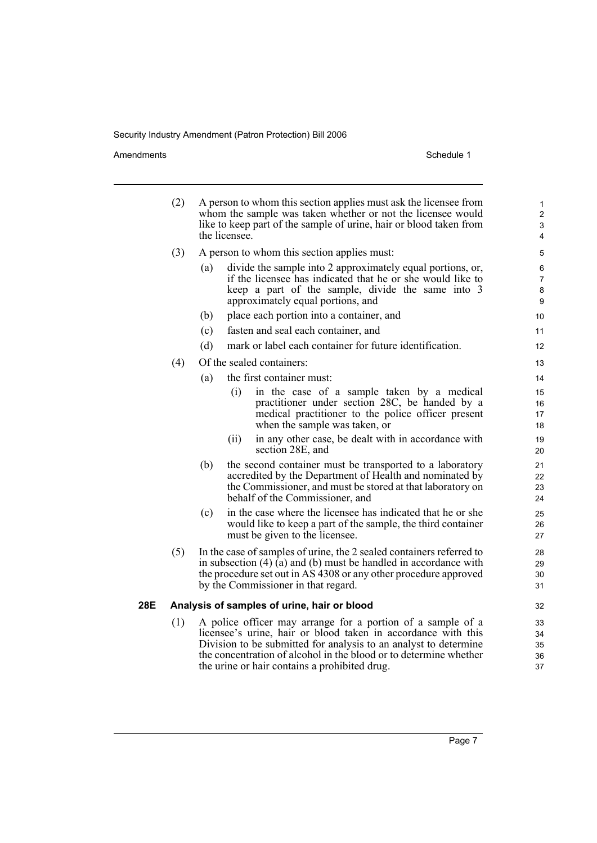Amendments Schedule 1

|     | (2) |     | the licensee. | A person to whom this section applies must ask the licensee from<br>whom the sample was taken whether or not the licensee would<br>like to keep part of the sample of urine, hair or blood taken from                                                 | 1<br>$\overline{c}$<br>3<br>4 |  |
|-----|-----|-----|---------------|-------------------------------------------------------------------------------------------------------------------------------------------------------------------------------------------------------------------------------------------------------|-------------------------------|--|
|     | (3) |     |               | A person to whom this section applies must:                                                                                                                                                                                                           | 5                             |  |
|     |     | (a) |               | divide the sample into 2 approximately equal portions, or,                                                                                                                                                                                            | 6<br>7                        |  |
|     |     |     |               | if the licensee has indicated that he or she would like to<br>keep a part of the sample, divide the same into 3                                                                                                                                       |                               |  |
|     |     |     |               | approximately equal portions, and                                                                                                                                                                                                                     | 8<br>9                        |  |
|     |     | (b) |               | place each portion into a container, and                                                                                                                                                                                                              | 10                            |  |
|     |     | (c) |               | fasten and seal each container, and                                                                                                                                                                                                                   | 11                            |  |
|     |     | (d) |               | mark or label each container for future identification.                                                                                                                                                                                               | 12                            |  |
|     | (4) |     |               | Of the sealed containers:                                                                                                                                                                                                                             | 13                            |  |
|     |     | (a) |               | the first container must:                                                                                                                                                                                                                             | 14                            |  |
|     |     |     | (i)           | in the case of a sample taken by a medical<br>practitioner under section 28C, be handed by a<br>medical practitioner to the police officer present<br>when the sample was taken, or                                                                   | 15<br>16<br>17<br>18          |  |
|     |     |     | (ii)          | in any other case, be dealt with in accordance with<br>section 28E, and                                                                                                                                                                               | 19<br>20                      |  |
|     |     | (b) |               | the second container must be transported to a laboratory<br>accredited by the Department of Health and nominated by<br>the Commissioner, and must be stored at that laboratory on<br>behalf of the Commissioner, and                                  | 21<br>22<br>23<br>24          |  |
|     |     | (c) |               | in the case where the licensee has indicated that he or she<br>would like to keep a part of the sample, the third container<br>must be given to the licensee.                                                                                         | 25<br>26<br>27                |  |
|     | (5) |     |               | In the case of samples of urine, the 2 sealed containers referred to<br>in subsection $(4)$ (a) and (b) must be handled in accordance with<br>the procedure set out in AS 4308 or any other procedure approved<br>by the Commissioner in that regard. | 28<br>29<br>30<br>31          |  |
| 28E |     |     |               | Analysis of samples of urine, hair or blood                                                                                                                                                                                                           | 32                            |  |
|     | (1) |     |               | A police officer may arrange for a portion of a sample of a                                                                                                                                                                                           | 33                            |  |
|     |     |     |               | licensee's urine, hair or blood taken in accordance with this                                                                                                                                                                                         | 34                            |  |
|     |     |     |               | Division to be submitted for analysis to an analyst to determine<br>the concentration of alcohol in the blood or to determine whether                                                                                                                 | 35<br>36                      |  |

the urine or hair contains a prohibited drug.

37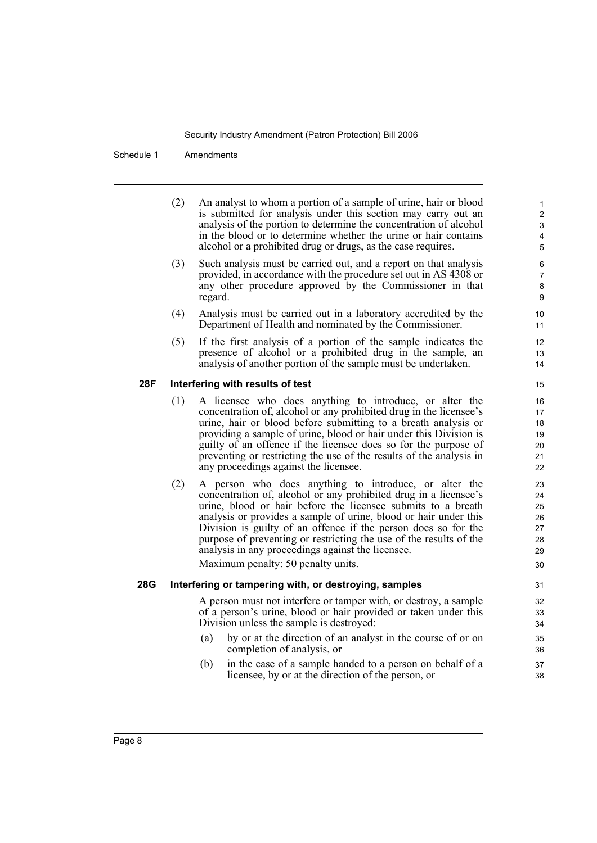Schedule 1 Amendments

- (2) An analyst to whom a portion of a sample of urine, hair or blood is submitted for analysis under this section may carry out an analysis of the portion to determine the concentration of alcohol in the blood or to determine whether the urine or hair contains alcohol or a prohibited drug or drugs, as the case requires.
- (3) Such analysis must be carried out, and a report on that analysis provided, in accordance with the procedure set out in AS 4308 or any other procedure approved by the Commissioner in that regard.
- (4) Analysis must be carried out in a laboratory accredited by the Department of Health and nominated by the Commissioner.
- (5) If the first analysis of a portion of the sample indicates the presence of alcohol or a prohibited drug in the sample, an analysis of another portion of the sample must be undertaken.

#### **28F Interfering with results of test**

- (1) A licensee who does anything to introduce, or alter the concentration of, alcohol or any prohibited drug in the licensee's urine, hair or blood before submitting to a breath analysis or providing a sample of urine, blood or hair under this Division is guilty of an offence if the licensee does so for the purpose of preventing or restricting the use of the results of the analysis in any proceedings against the licensee.
- (2) A person who does anything to introduce, or alter the concentration of, alcohol or any prohibited drug in a licensee's urine, blood or hair before the licensee submits to a breath analysis or provides a sample of urine, blood or hair under this Division is guilty of an offence if the person does so for the purpose of preventing or restricting the use of the results of the analysis in any proceedings against the licensee.

Maximum penalty: 50 penalty units.

#### **28G Interfering or tampering with, or destroying, samples**

A person must not interfere or tamper with, or destroy, a sample of a person's urine, blood or hair provided or taken under this Division unless the sample is destroyed:

- (a) by or at the direction of an analyst in the course of or on completion of analysis, or
- (b) in the case of a sample handed to a person on behalf of a licensee, by or at the direction of the person, or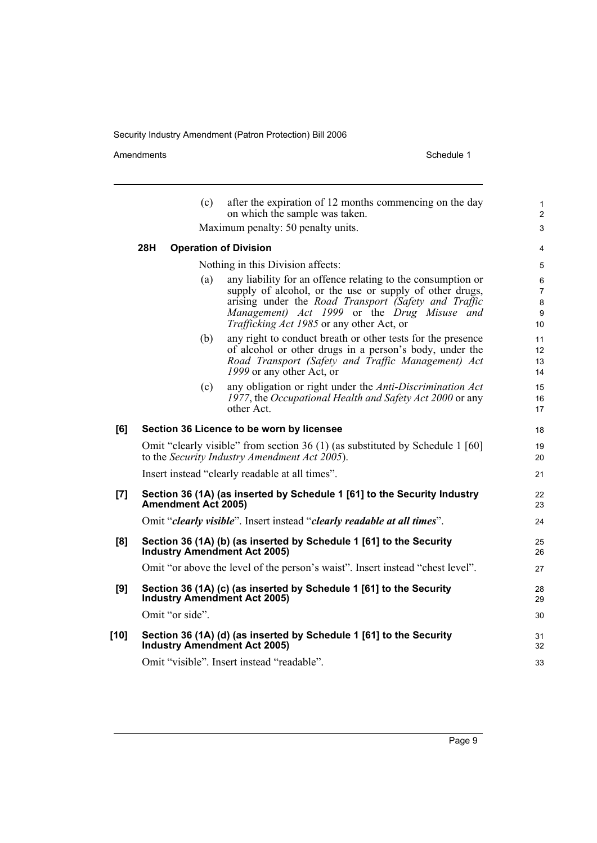Amendments Schedule 1

|        |                                                                                                            | (c) | after the expiration of 12 months commencing on the day<br>on which the sample was taken.                                                                                                                                                                                         | $\mathbf{1}$<br>$\overline{2}$      |  |
|--------|------------------------------------------------------------------------------------------------------------|-----|-----------------------------------------------------------------------------------------------------------------------------------------------------------------------------------------------------------------------------------------------------------------------------------|-------------------------------------|--|
|        | Maximum penalty: 50 penalty units.                                                                         |     |                                                                                                                                                                                                                                                                                   |                                     |  |
|        | 28H                                                                                                        |     | <b>Operation of Division</b>                                                                                                                                                                                                                                                      | 4                                   |  |
|        |                                                                                                            |     | Nothing in this Division affects:                                                                                                                                                                                                                                                 | 5                                   |  |
|        |                                                                                                            | (a) | any liability for an offence relating to the consumption or<br>supply of alcohol, or the use or supply of other drugs,<br>arising under the <i>Road Transport (Safety and Traffic</i><br>Management) Act 1999 or the Drug Misuse and<br>Trafficking Act 1985 or any other Act, or | 6<br>$\overline{7}$<br>8<br>9<br>10 |  |
|        |                                                                                                            | (b) | any right to conduct breath or other tests for the presence<br>of alcohol or other drugs in a person's body, under the<br>Road Transport (Safety and Traffic Management) Act<br>1999 or any other Act, or                                                                         | 11<br>12 <sup>2</sup><br>13<br>14   |  |
|        |                                                                                                            | (c) | any obligation or right under the Anti-Discrimination Act<br>1977, the Occupational Health and Safety Act 2000 or any<br>other Act.                                                                                                                                               | 15<br>16<br>17                      |  |
| [6]    |                                                                                                            |     | Section 36 Licence to be worn by licensee                                                                                                                                                                                                                                         | 18                                  |  |
|        |                                                                                                            |     | Omit "clearly visible" from section 36 (1) (as substituted by Schedule 1 [60]<br>to the Security Industry Amendment Act 2005).                                                                                                                                                    | 19<br>20                            |  |
|        |                                                                                                            |     | Insert instead "clearly readable at all times".                                                                                                                                                                                                                                   | 21                                  |  |
| [7]    | Section 36 (1A) (as inserted by Schedule 1 [61] to the Security Industry<br><b>Amendment Act 2005)</b>     |     |                                                                                                                                                                                                                                                                                   | 22<br>23                            |  |
|        |                                                                                                            |     | Omit "clearly visible". Insert instead "clearly readable at all times".                                                                                                                                                                                                           | 24                                  |  |
| [8]    |                                                                                                            |     | Section 36 (1A) (b) (as inserted by Schedule 1 [61] to the Security<br><b>Industry Amendment Act 2005)</b>                                                                                                                                                                        | 25<br>26                            |  |
|        |                                                                                                            |     | Omit "or above the level of the person's waist". Insert instead "chest level".                                                                                                                                                                                                    | 27                                  |  |
| [9]    | Section 36 (1A) (c) (as inserted by Schedule 1 [61] to the Security<br><b>Industry Amendment Act 2005)</b> |     |                                                                                                                                                                                                                                                                                   |                                     |  |
|        | Omit "or side".                                                                                            |     |                                                                                                                                                                                                                                                                                   | 30                                  |  |
| $[10]$ |                                                                                                            |     | Section 36 (1A) (d) (as inserted by Schedule 1 [61] to the Security<br><b>Industry Amendment Act 2005)</b>                                                                                                                                                                        | 31<br>32                            |  |
|        |                                                                                                            |     | Omit "visible". Insert instead "readable".                                                                                                                                                                                                                                        | 33                                  |  |
|        |                                                                                                            |     |                                                                                                                                                                                                                                                                                   |                                     |  |